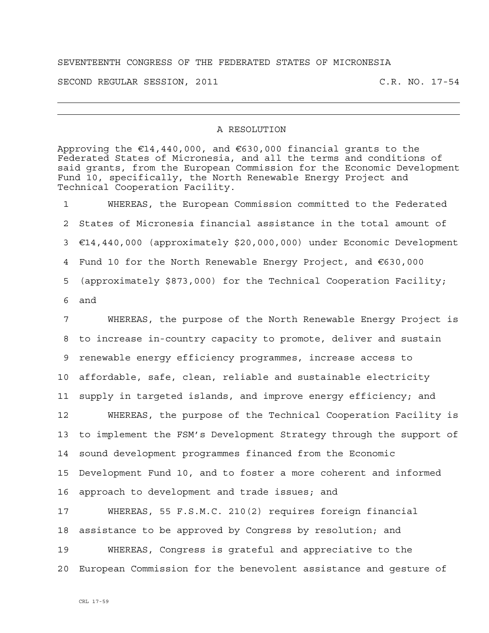## SEVENTEENTH CONGRESS OF THE FEDERATED STATES OF MICRONESIA

SECOND REGULAR SESSION, 2011 C.R. NO. 17-54

## A RESOLUTION

Approving the €14,440,000, and €630,000 financial grants to the Federated States of Micronesia, and all the terms and conditions of said grants, from the European Commission for the Economic Development Fund 10, specifically, the North Renewable Energy Project and Technical Cooperation Facility.

1 WHEREAS, the European Commission committed to the Federated 2 States of Micronesia financial assistance in the total amount of 3 €14,440,000 (approximately \$20,000,000) under Economic Development 4 Fund 10 for the North Renewable Energy Project, and €630,000 5 (approximately \$873,000) for the Technical Cooperation Facility; 6 and

7 WHEREAS, the purpose of the North Renewable Energy Project is 8 to increase in-country capacity to promote, deliver and sustain 9 renewable energy efficiency programmes, increase access to 10 affordable, safe, clean, reliable and sustainable electricity 11 supply in targeted islands, and improve energy efficiency; and 12 WHEREAS, the purpose of the Technical Cooperation Facility is 13 to implement the FSM's Development Strategy through the support of 14 sound development programmes financed from the Economic 15 Development Fund 10, and to foster a more coherent and informed 16 approach to development and trade issues; and 17 WHEREAS, 55 F.S.M.C. 210(2) requires foreign financial 18 assistance to be approved by Congress by resolution; and 19 WHEREAS, Congress is grateful and appreciative to the 20 European Commission for the benevolent assistance and gesture of